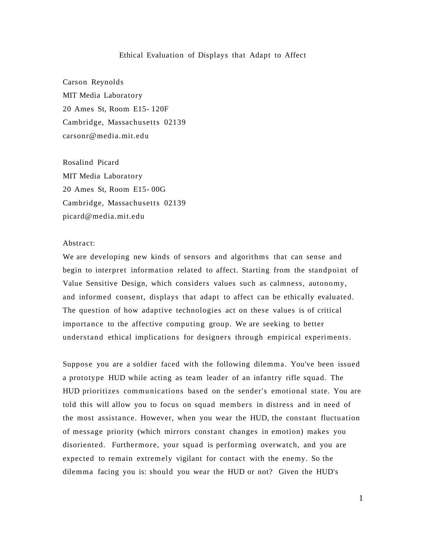### Ethical Evaluation of Displays that Adapt to Affect

Carson Reynolds MIT Media Laboratory 20 Ames St, Room E15- 120F Cambridge, Massachusetts 02139 carsonr@media.mit.edu

Rosalind Picard MIT Media Laboratory 20 Ames St, Room E15- 00G Cambridge, Massachusetts 02139 picard@media.mit.edu

### Abstract:

We are developing new kinds of sensors and algorithms that can sense and begin to interpret information related to affect. Starting from the standpoint of Value Sensitive Design, which considers values such as calmness, autonomy, and informed consent, displays that adapt to affect can be ethically evaluated. The question of how adaptive technologies act on these values is of critical importance to the affective computing group. We are seeking to better understand ethical implications for designers through empirical experiments.

Suppose you are a soldier faced with the following dilemma. You've been issued a prototype HUD while acting as team leader of an infantry rifle squad. The HUD prioritizes communications based on the sender's emotional state. You are told this will allow you to focus on squad members in distress and in need of the most assistance. However, when you wear the HUD, the constant fluctuation of message priority (which mirrors constant changes in emotion) makes you disoriented. Furthermore, your squad is performing overwatch, and you are expected to remain extremely vigilant for contact with the enemy. So the dilemma facing you is: should you wear the HUD or not? Given the HUD's

1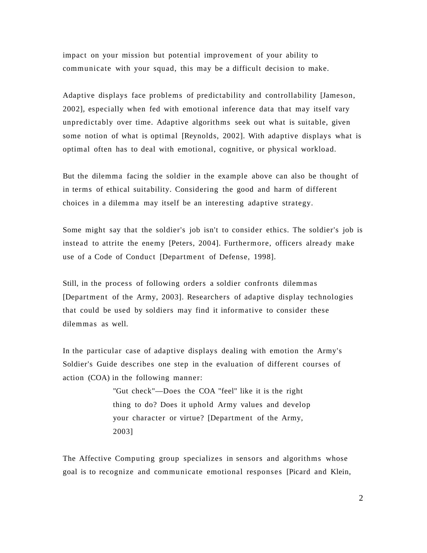impact on your mission but potential improvement of your ability to communicate with your squad, this may be a difficult decision to make.

Adaptive displays face problems of predictability and controllability [Jameson, 2002], especially when fed with emotional inference data that may itself vary unpredictably over time. Adaptive algorithms seek out what is suitable, given some notion of what is optimal [Reynolds, 2002]. With adaptive displays what is optimal often has to deal with emotional, cognitive, or physical workload.

But the dilemma facing the soldier in the example above can also be thought of in terms of ethical suitability. Considering the good and harm of different choices in a dilemma may itself be an interesting adaptive strategy.

Some might say that the soldier's job isn't to consider ethics. The soldier's job is instead to attrite the enemy [Peters, 2004]. Furthermore, officers already make use of a Code of Conduct [Department of Defense, 1998].

Still, in the process of following orders a soldier confronts dilemmas [Department of the Army, 2003]. Researchers of adaptive display technologies that could be used by soldiers may find it informative to consider these dilemmas as well.

In the particular case of adaptive displays dealing with emotion the Army's Soldier's Guide describes one step in the evaluation of different courses of action (COA) in the following manner:

> "Gut check"—Does the COA "feel" like it is the right thing to do? Does it uphold Army values and develop your character or virtue? [Department of the Army, 2003]

The Affective Computing group specializes in sensors and algorithms whose goal is to recognize and communicate emotional responses [Picard and Klein,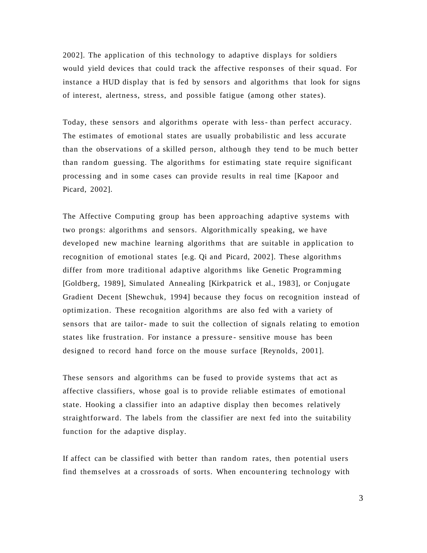2002]. The application of this technology to adaptive displays for soldiers would yield devices that could track the affective responses of their squad. For instance a HUD display that is fed by sensors and algorithms that look for signs of interest, alertness, stress, and possible fatigue (among other states).

Today, these sensors and algorithms operate with less- than perfect accuracy. The estimates of emotional states are usually probabilistic and less accurate than the observations of a skilled person, although they tend to be much better than random guessing. The algorithms for estimating state require significant processing and in some cases can provide results in real time [Kapoor and Picard, 2002].

The Affective Computing group has been approaching adaptive systems with two prongs: algorithms and sensors. Algorithmically speaking, we have developed new machine learning algorithms that are suitable in application to recognition of emotional states [e.g. Qi and Picard, 2002]. These algorithms differ from more traditional adaptive algorithms like Genetic Programming [Goldberg, 1989], Simulated Annealing [Kirkpatrick et al., 1983], or Conjugate Gradient Decent [Shewchuk, 1994] because they focus on recognition instead of optimization. These recognition algorithms are also fed with a variety of sensors that are tailor- made to suit the collection of signals relating to emotion states like frustration. For instance a pressure - sensitive mouse has been designed to record hand force on the mouse surface [Reynolds, 2001].

These sensors and algorithms can be fused to provide systems that act as affective classifiers, whose goal is to provide reliable estimates of emotional state. Hooking a classifier into an adaptive display then becomes relatively straightforward. The labels from the classifier are next fed into the suitability function for the adaptive display.

If affect can be classified with better than random rates, then potential users find themselves at a crossroads of sorts. When encountering technology with

3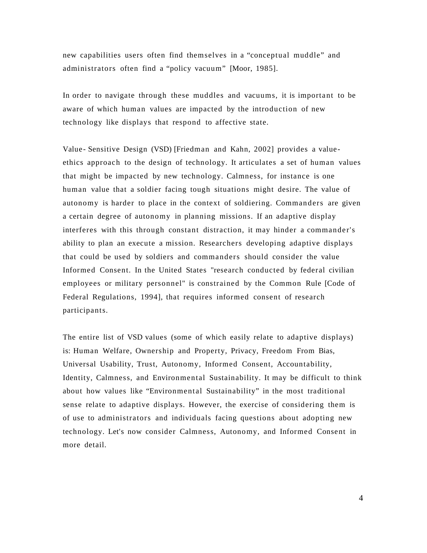new capabilities users often find themselves in a "conceptual muddle" and administrators often find a "policy vacuum" [Moor, 1985].

In order to navigate through these muddles and vacuums, it is important to be aware of which human values are impacted by the introduction of new technology like displays that respond to affective state.

Value- Sensitive Design (VSD) [Friedman and Kahn, 2002] provides a valueethics approach to the design of technology. It articulates a set of human values that might be impacted by new technology. Calmness, for instance is one human value that a soldier facing tough situations might desire. The value of autonomy is harder to place in the context of soldiering. Commanders are given a certain degree of autonomy in planning missions. If an adaptive display interferes with this through constant distraction, it may hinder a commander's ability to plan an execute a mission. Researchers developing adaptive displays that could be used by soldiers and commanders should consider the value Informed Consent. In the United States "research conducted by federal civilian employees or military personnel" is constrained by the Common Rule [Code of Federal Regulations, 1994], that requires informed consent of research participants.

The entire list of VSD values (some of which easily relate to adaptive displays) is: Human Welfare, Ownership and Property, Privacy, Freedom From Bias, Universal Usability, Trust, Autonomy, Informed Consent, Accountability, Identity, Calmness, and Environmental Sustainability. It may be difficult to think about how values like "Environmental Sustainability" in the most traditional sense relate to adaptive displays. However, the exercise of considering them is of use to administrators and individuals facing questions about adopting new technology. Let's now consider Calmness, Autonomy, and Informed Consent in more detail.

4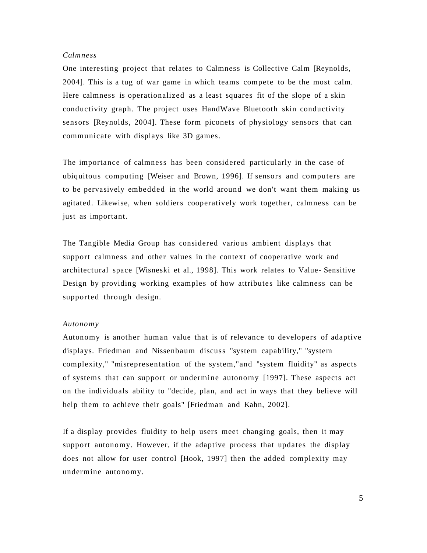## *Calmness*

One interesting project that relates to Calmness is Collective Calm [Reynolds, 2004]. This is a tug of war game in which teams compete to be the most calm. Here calmness is operationalized as a least squares fit of the slope of a skin conductivity graph. The project uses HandWave Bluetooth skin conductivity sensors [Reynolds, 2004]. These form piconets of physiology sensors that can communicate with displays like 3D games.

The importance of calmness has been considered particularly in the case of ubiquitous computing [Weiser and Brown, 1996]. If sensors and computers are to be pervasively embedded in the world around we don't want them making us agitated. Likewise, when soldiers cooperatively work together, calmness can be just as important.

The Tangible Media Group has considered various ambient displays that support calmness and other values in the context of cooperative work and architectural space [Wisneski et al., 1998]. This work relates to Value- Sensitive Design by providing working examples of how attributes like calmness can be supported through design.

#### *Autonomy*

Autonomy is another human value that is of relevance to developers of adaptive displays. Friedman and Nissenbaum discuss "system capability," "system complexity," "misrepresentation of the system,"and "system fluidity" as aspects of systems that can support or undermine autonomy [1997]. These aspects act on the individuals ability to "decide, plan, and act in ways that they believe will help them to achieve their goals" [Friedman and Kahn, 2002].

If a display provides fluidity to help users meet changing goals, then it may support autonomy. However, if the adaptive process that updates the display does not allow for user control [Hook, 1997] then the added complexity may undermine autonomy.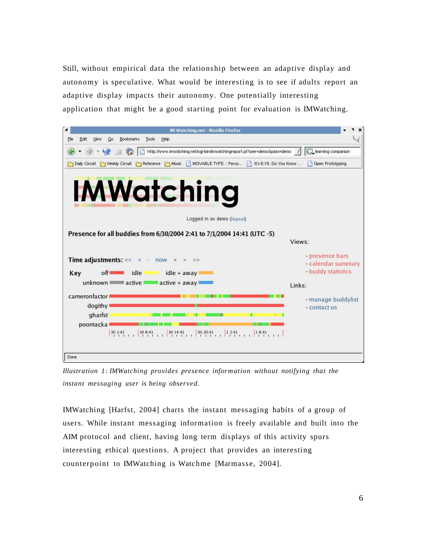Still, without empirical data the relationship between an adaptive display and autonomy is speculative. What would be interesting is to see if adults report an adaptive display impacts their autonomy. One potentially interesting application that might be a good starting point for evaluation is IMWatching.



*Illustration 1: IMWatching provides presence information without notifying that the instant messaging user is being observed.*

IMWatching [Harfst, 2004] charts the instant messaging habits of a group of users. While instant messaging information is freely available and built into the AIM protocol and client, having long term displays of this activity spurs interesting ethical questions. A project that provides an interesting counterpoint to IMWatching is Watchme [Marmasse, 2004].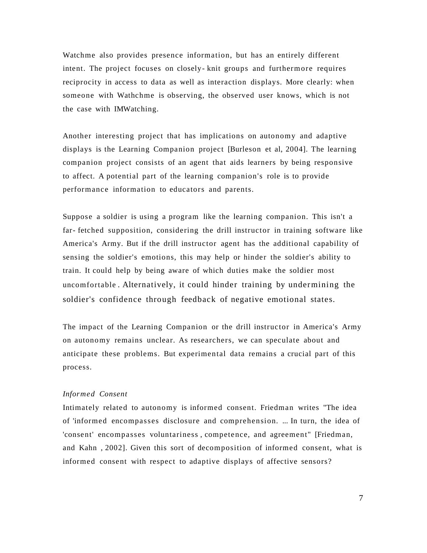Watchme also provides presence information, but has an entirely different intent. The project focuses on closely- knit groups and furthermore requires reciprocity in access to data as well as interaction displays. More clearly: when someone with Wathchme is observing, the observed user knows, which is not the case with IMWatching.

Another interesting project that has implications on autonomy and adaptive displays is the Learning Companion project [Burleson et al, 2004]. The learning companion project consists of an agent that aids learners by being responsive to affect. A potential part of the learning companion's role is to provide performance information to educators and parents.

Suppose a soldier is using a program like the learning companion. This isn't a far- fetched supposition, considering the drill instructor in training software like America's Army. But if the drill instructor agent has the additional capability of sensing the soldier's emotions, this may help or hinder the soldier's ability to train. It could help by being aware of which duties make the soldier most uncomfortable . Alternatively, it could hinder training by undermining the soldier's confidence through feedback of negative emotional states.

The impact of the Learning Companion or the drill instructor in America's Army on autonomy remains unclear. As researchers, we can speculate about and anticipate these problems. But experimental data remains a crucial part of this process.

# *Informed Consent*

Intimately related to autonomy is informed consent. Friedman writes "The idea of 'informed encompasses disclosure and comprehension. ... In turn, the idea of 'consent' encompasses voluntariness , competence, and agreement" [Friedman, and Kahn , 2002]. Given this sort of decomposition of informed consent, what is informed consent with respect to adaptive displays of affective sensors?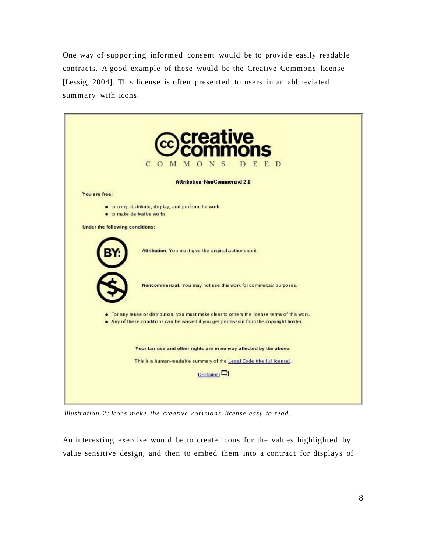One way of supporting informed consent would be to provide easily readable contracts. A good example of these would be the Creative Commons license [Lessig, 2004]. This license is often presented to users in an abbreviated summary with icons.



*Illustration 2: Icons make the creative commons license easy to read.*

An interesting exercise would be to create icons for the values highlighted by value sensitive design, and then to embed them into a contract for displays of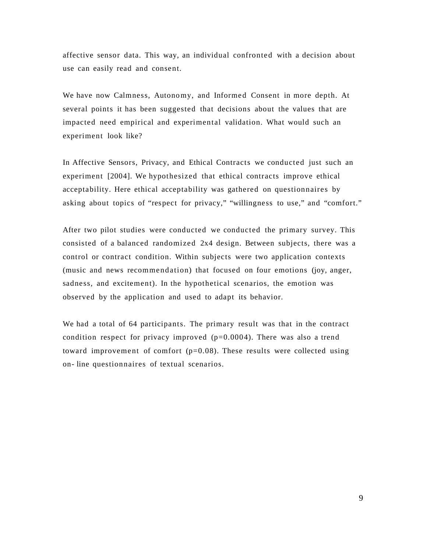affective sensor data. This way, an individual confronted with a decision about use can easily read and consent.

We have now Calmness, Autonomy, and Informed Consent in more depth. At several points it has been suggested that decisions about the values that are impacted need empirical and experimental validation. What would such an experiment look like?

In Affective Sensors, Privacy, and Ethical Contracts we conducted just such an experiment [2004]. We hypothesized that ethical contracts improve ethical acceptability. Here ethical acceptability was gathered on questionnaires by asking about topics of "respect for privacy," "willingness to use," and "comfort."

After two pilot studies were conducted we conducted the primary survey. This consisted of a balanced randomized 2x4 design. Between subjects, there was a control or contract condition. Within subjects were two application contexts (music and news recommendation) that focused on four emotions (joy, anger, sadness, and excitement). In the hypothetical scenarios, the emotion was observed by the application and used to adapt its behavior.

We had a total of 64 participants. The primary result was that in the contract condition respect for privacy improved  $(p=0.0004)$ . There was also a trend toward improvement of comfort  $(p=0.08)$ . These results were collected using on- line questionnaires of textual scenarios.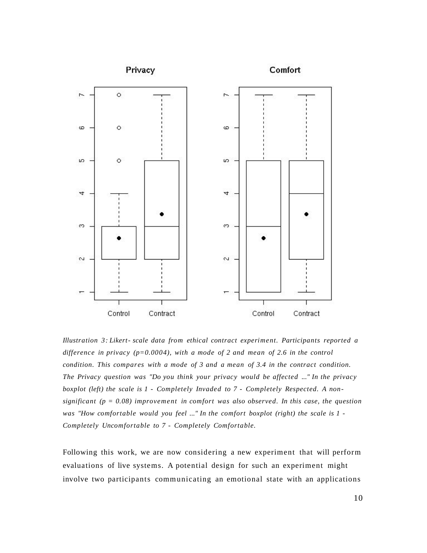

*Illustration 3: Likert- scale data from ethical contract experiment. Participants reported a difference in privacy (p=0.0004), with a mode of 2 and mean of 2.6 in the control condition. This compares with a mode of 3 and a mean of 3.4 in the contract condition. The Privacy question was "Do you think your privacy would be affected ..." In the privacy boxplot (left) the scale is 1 - Completely Invaded to 7 - Completely Respected. A nonsignificant (p = 0.08) improvement in comfort was also observed. In this case, the question was "How comfortable would you feel ..." In the comfort boxplot (right) the scale is 1 - Completely Uncomfortable to 7 - Completely Comfortable.*

Following this work, we are now considering a new experiment that will perform evaluations of live systems. A potential design for such an experiment might involve two participants communicating an emotional state with an applications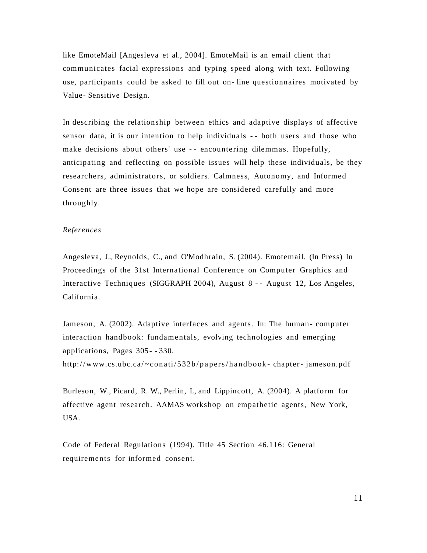like EmoteMail [Angesleva et al., 2004]. EmoteMail is an email client that communicates facial expressions and typing speed along with text. Following use, participants could be asked to fill out on- line questionnaires motivated by Value- Sensitive Design.

In describing the relationship between ethics and adaptive displays of affective sensor data, it is our intention to help individuals - - both users and those who make decisions about others' use - - encountering dilemmas. Hopefully, anticipating and reflecting on possible issues will help these individuals, be they researchers, administrators, or soldiers. Calmness, Autonomy, and Informed Consent are three issues that we hope are considered carefully and more throughly.

# *References*

Angesleva, J., Reynolds, C., and O'Modhrain, S. (2004). Emotemail. (In Press) In Proceedings of the 31st International Conference on Computer Graphics and Interactive Techniques (SIGGRAPH 2004), August 8 - - August 12, Los Angeles, California.

Jameson, A. (2002). Adaptive interfaces and agents. In: The human - computer interaction handbook: fundamentals, evolving technologies and emerging applications, Pages 305- - 330.

http://www.cs.ubc.ca/~conati/532b/papers/handbook-chapter-jameson.pdf

Burleson, W., Picard, R. W., Perlin, L, and Lippincott, A. (2004). A platform for affective agent research. AAMAS workshop on empathetic agents, New York, USA.

Code of Federal Regulations (1994). Title 45 Section 46.116: General requirements for informed consent.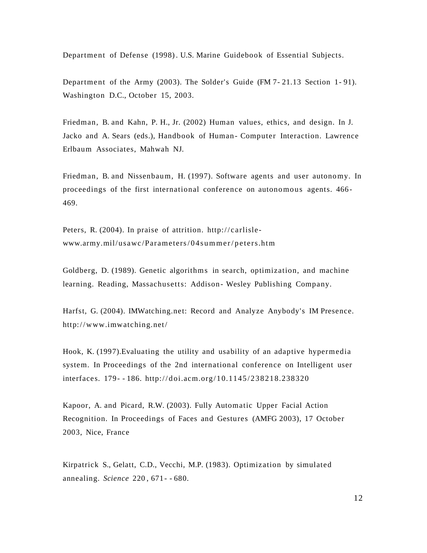Department of Defense (1998). U.S. Marine Guidebook of Essential Subjects.

Department of the Army (2003). The Solder's Guide (FM 7- 21.13 Section 1- 91). Washington D.C., October 15, 2003.

Friedman, B. and Kahn, P. H., Jr. (2002) Human values, ethics, and design. In J. Jacko and A. Sears (eds.), Handbook of Human-Computer Interaction. Lawrence Erlbaum Associates, Mahwah NJ.

Friedman, B. and Nissenbaum, H. (1997). Software agents and user autonomy. In proceedings of the first international conference on autonomous agents. 466- 469.

Peters, R. (2004). In praise of attrition. http://carlisle $www.army. mil/usawc/Parameters/04 summer/peters.html$ 

Goldberg, D. (1989). Genetic algorithms in search, optimization, and machine learning. Reading, Massachusetts: Addison- Wesley Publishing Company.

Harfst, G. (2004). IMWatching.net: Record and Analyze Anybody's IM Presence. http:/ /www.imwatching.net/

Hook, K. (1997).Evaluating the utility and usability of an adaptive hypermedia system. In Proceedings of the 2nd international conference on Intelligent user interfaces. 179- - 186. http://doi.acm.org/10.1145/238218.238320

Kapoor, A. and Picard, R.W. (2003). Fully Automatic Upper Facial Action Recognition. In Proceedings of Faces and Gestures (AMFG 2003), 17 October 2003, Nice, France

Kirpatrick S., Gelatt, C.D., Vecchi, M.P. (1983). Optimization by simulated annealing. *Science* 220 , 671- - 680.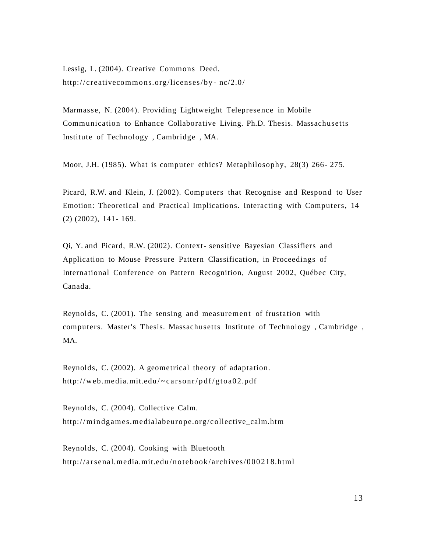Lessig, L. (2004). Creative Commons Deed. http://creativecommons.org/licenses/by- $nc/2.0/$ 

Marmasse, N. (2004). Providing Lightweight Telepresence in Mobile Communication to Enhance Collaborative Living. Ph.D. Thesis. Massachusetts Institute of Technology , Cambridge , MA.

Moor, J.H. (1985). What is computer ethics? Metaphilosophy, 28(3) 266- 275.

Picard, R.W. and Klein, J. (2002). Computers that Recognise and Respond to User Emotion: Theoretical and Practical Implications. Interacting with Computers, 14 (2) (2002), 141- 169.

Qi, Y. and Picard, R.W. (2002). Context- sensitive Bayesian Classifiers and Application to Mouse Pressure Pattern Classification, in Proceedings of International Conference on Pattern Recognition, August 2002, Québec City, Canada.

Reynolds, C. (2001). The sensing and measurement of frustation with computers. Master's Thesis. Massachusetts Institute of Technology , Cambridge , MA.

Reynolds, C. (2002). A geometrical theory of adaptation. http://web.media.mit.edu/~carsonr/pdf/gtoa02.pdf

Reynolds, C. (2004). Collective Calm. http://mindgames.medialabeurope.org/collective\_calm.htm

Reynolds, C. (2004). Cooking with Bluetooth http://arsenal.media.mit.edu/notebook/archives/000218.html